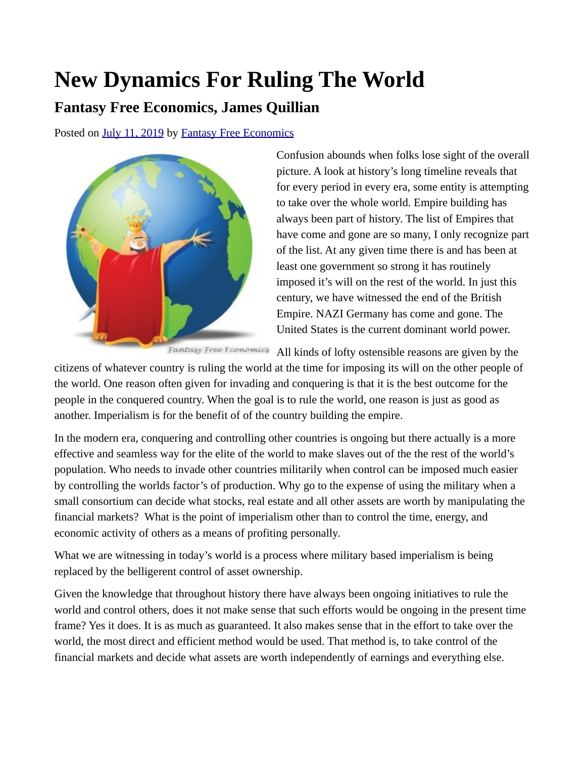## **New Dynamics For Ruling The World**

## **Fantasy Free Economics, James Quillian**

Posted on [July 11, 2019](http://quillian.net/blog/?p=6501) by [Fantasy Free Economics](http://quillian.net/blog/author/james-quillian/)



Confusion abounds when folks lose sight of the overall picture. A look at history's long timeline reveals that for every period in every era, some entity is attempting to take over the whole world. Empire building has always been part of history. The list of Empires that have come and gone are so many, I only recognize part of the list. At any given time there is and has been at least one government so strong it has routinely imposed it's will on the rest of the world. In just this century, we have witnessed the end of the British Empire. NAZI Germany has come and gone. The United States is the current dominant world power.

Fantasy Free Economics All kinds of lofty ostensible reasons are given by the

citizens of whatever country is ruling the world at the time for imposing its will on the other people of the world. One reason often given for invading and conquering is that it is the best outcome for the people in the conquered country. When the goal is to rule the world, one reason is just as good as another. Imperialism is for the benefit of of the country building the empire.

In the modern era, conquering and controlling other countries is ongoing but there actually is a more effective and seamless way for the elite of the world to make slaves out of the the rest of the world's population. Who needs to invade other countries militarily when control can be imposed much easier by controlling the worlds factor's of production. Why go to the expense of using the military when a small consortium can decide what stocks, real estate and all other assets are worth by manipulating the financial markets? What is the point of imperialism other than to control the time, energy, and economic activity of others as a means of profiting personally.

What we are witnessing in today's world is a process where military based imperialism is being replaced by the belligerent control of asset ownership.

Given the knowledge that throughout history there have always been ongoing initiatives to rule the world and control others, does it not make sense that such efforts would be ongoing in the present time frame? Yes it does. It is as much as guaranteed. It also makes sense that in the effort to take over the world, the most direct and efficient method would be used. That method is, to take control of the financial markets and decide what assets are worth independently of earnings and everything else.